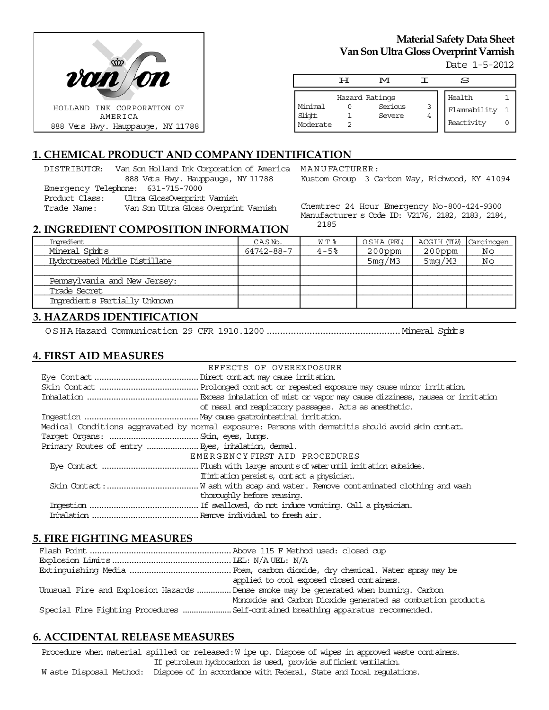

# **Material Safety Data Sheet Van Son Ultra Gloss Overprint Varnish**

Date 1-5-2012

|                               | டா | M                 |        | S                          |  |
|-------------------------------|----|-------------------|--------|----------------------------|--|
|                               |    | Hazard Ratings    |        | Health                     |  |
| Minimal<br>Slight<br>Moderate |    | Serious<br>Severe | 3<br>4 | Flammability<br>Reactivity |  |

## **1. CHEMICAL PRODUCT AND COMPANY IDENTIFICATION**

DISTRIBUTOR: Van Son Holland Ink Corporation of America MANUFACTURER: 888 Vets Hwy. Hauppauge, NY 11788 Emergency Telephone: 631-715-7000<br>Product Class: Ultra GlossOvenprint Ultra GlossOverprint Varnish

Trade Name: Van Son Ultra Gloss Overprint Varnish

Kustom Group 3 Carbon Way, Richwood, KY 41094

Chemtrec 24 Hour Emergency No-800-424-9300 Manufacturer s Code ID: V2176, 2182, 2183, 2184, 2185

### **2. INGREDIENT COMPOSITION INFORMATION**

| Inoredient                     | CASN <sub>D</sub> . | W T %    | OSHA (PEL) | ACGIH (TLV) Carcinogen |    |
|--------------------------------|---------------------|----------|------------|------------------------|----|
| Mineral Spirits                | 64742-88-7          | $4 - 5%$ | $200$ ppm  | $200$ ppm              | No |
| Hydrotreated Middle Distillate |                     |          | 5mg/M3     | 5mg/M3                 | Νo |
|                                |                     |          |            |                        |    |
| Pennsylvania and New Jersey:   |                     |          |            |                        |    |
| Trade Secret                   |                     |          |            |                        |    |
| Ingredients Partially Unknown  |                     |          |            |                        |    |

### **3. HAZARDS IDENTIFICATION**

OSHA Hazard Communication 29 CFR 1910.1200..................................................Mineral Spirits

#### **4. FIRST AID MEASURES**

| EFFECTS OF OVEREXPOSURE                                                                            |  |
|----------------------------------------------------------------------------------------------------|--|
|                                                                                                    |  |
|                                                                                                    |  |
|                                                                                                    |  |
| of nasal and respiratory passages. Acts as anesthetic.                                             |  |
|                                                                                                    |  |
| Medical Conditions aggravated by normal exposure: Persons with dematitis should avoid skin contat. |  |
|                                                                                                    |  |
|                                                                                                    |  |
| EMERGENCY FIRST AID PROCEDURES                                                                     |  |
|                                                                                                    |  |
| If initiation persists, contact a physician.                                                       |  |
|                                                                                                    |  |
| thoroughly before reusing.                                                                         |  |
|                                                                                                    |  |
|                                                                                                    |  |

### **5. FIRE FIGHTING MEASURES**

| applied to cool exposed closed containers.                                            |
|---------------------------------------------------------------------------------------|
| Unusual Fire and Explosion Hazards  Dense smoke may be generated when burning. Carbon |
| Monoxide and Carbon Dioxide generated as combustion products                          |
|                                                                                       |

### **6. ACCIDENTAL RELEASE MEASURES**

Procedure when material spilled or released: W ipe up. Dispose of wipes in approved waste containers. If petroleum hydrocarbon is used, provide sufficient ventilation. W aste Disposal Method: Dispose of in accordance with Federal, State and Local regulations.